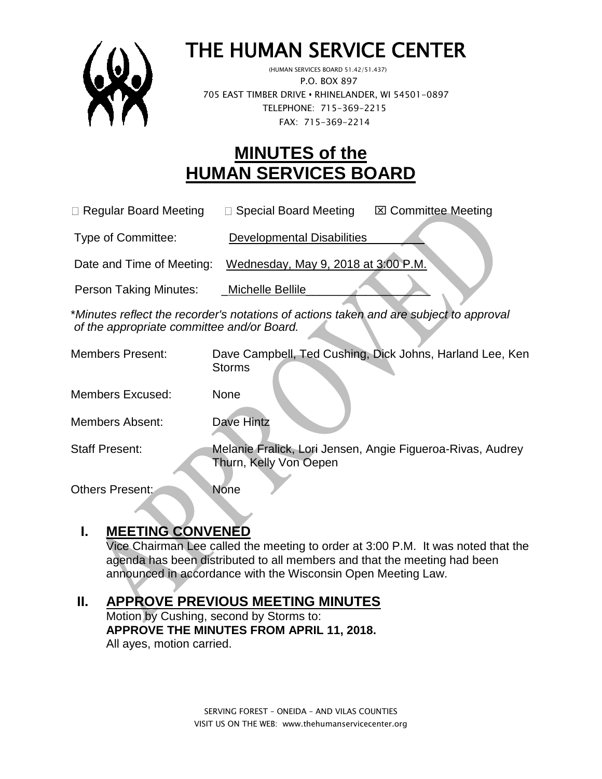

# THE HUMAN SERVICE CENTER

 (HUMAN SERVICES BOARD 51.42/51.437) P.O. BOX 897 705 EAST TIMBER DRIVE **•** RHINELANDER, WI 54501-0897 TELEPHONE: 715-369-2215 FAX: 715-369-2214

# **MINUTES of the HUMAN SERVICES BOARD**

 $\Box$  Regular Board Meeting  $\Box$  Special Board Meeting  $\Box$  Committee Meeting

Type of Committee: Developmental Disabilities

Date and Time of Meeting: Wednesday, May 9, 2018 at 3:00 P.M.

Person Taking Minutes: Michelle Bellile

\**Minutes reflect the recorder's notations of actions taken and are subject to approval of the appropriate committee and/or Board.*

| <b>Members Present:</b> | Dave Campbell, Ted Cushing, Dick Johns, Harland Lee, Ken<br><b>Storms</b>            |
|-------------------------|--------------------------------------------------------------------------------------|
| <b>Members Excused:</b> | None                                                                                 |
| <b>Members Absent:</b>  | Dave Hintz                                                                           |
| <b>Staff Present:</b>   | Melanie Fralick, Lori Jensen, Angie Figueroa-Rivas, Audrey<br>Thurn, Kelly Von Oepen |
| <b>Others Present:</b>  | <b>None</b>                                                                          |

# **I. MEETING CONVENED**

Vice Chairman Lee called the meeting to order at 3:00 P.M. It was noted that the agenda has been distributed to all members and that the meeting had been announced in accordance with the Wisconsin Open Meeting Law.

# **II. APPROVE PREVIOUS MEETING MINUTES**

Motion by Cushing, second by Storms to: **APPROVE THE MINUTES FROM APRIL 11, 2018.**  All ayes, motion carried.